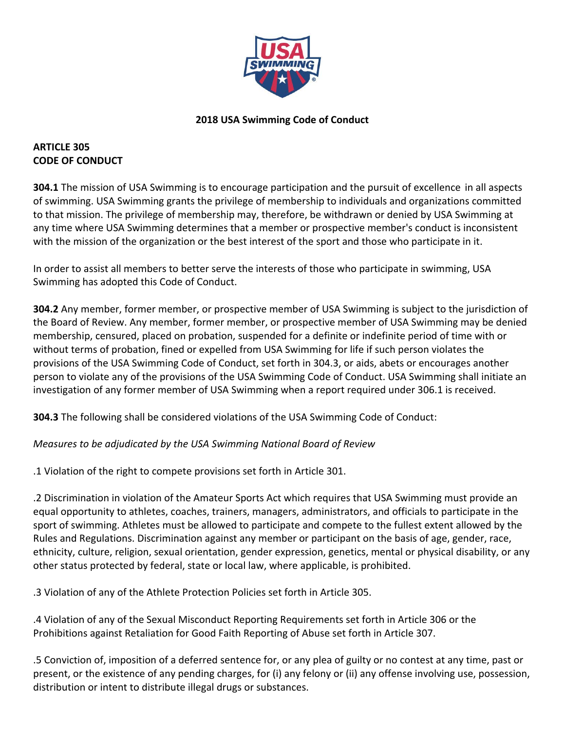

### **2018 USA Swimming Code of Conduct**

### **ARTICLE 305 CODE OF CONDUCT**

**304.1** The mission of USA Swimming is to encourage participation and the pursuit of excellence in all aspects of swimming. USA Swimming grants the privilege of membership to individuals and organizations committed to that mission. The privilege of membership may, therefore, be withdrawn or denied by USA Swimming at any time where USA Swimming determines that a member or prospective member's conduct is inconsistent with the mission of the organization or the best interest of the sport and those who participate in it.

In order to assist all members to better serve the interests of those who participate in swimming, USA Swimming has adopted this Code of Conduct.

**304.2** Any member, former member, or prospective member of USA Swimming is subject to the jurisdiction of the Board of Review. Any member, former member, or prospective member of USA Swimming may be denied membership, censured, placed on probation, suspended for a definite or indefinite period of time with or without terms of probation, fined or expelled from USA Swimming for life if such person violates the provisions of the USA Swimming Code of Conduct, set forth in 304.3, or aids, abets or encourages another person to violate any of the provisions of the USA Swimming Code of Conduct. USA Swimming shall initiate an investigation of any former member of USA Swimming when a report required under 306.1 is received.

**304.3** The following shall be considered violations of the USA Swimming Code of Conduct:

#### *Measures to be adjudicated by the USA Swimming National Board of Review*

.1 Violation of the right to compete provisions set forth in Article 301.

.2 Discrimination in violation of the Amateur Sports Act which requires that USA Swimming must provide an equal opportunity to athletes, coaches, trainers, managers, administrators, and officials to participate in the sport of swimming. Athletes must be allowed to participate and compete to the fullest extent allowed by the Rules and Regulations. Discrimination against any member or participant on the basis of age, gender, race, ethnicity, culture, religion, sexual orientation, gender expression, genetics, mental or physical disability, or any other status protected by federal, state or local law, where applicable, is prohibited.

.3 Violation of any of the Athlete Protection Policies set forth in Article 305.

.4 Violation of any of the Sexual Misconduct Reporting Requirements set forth in Article 306 or the Prohibitions against Retaliation for Good Faith Reporting of Abuse set forth in Article 307.

.5 Conviction of, imposition of a deferred sentence for, or any plea of guilty or no contest at any time, past or present, or the existence of any pending charges, for (i) any felony or (ii) any offense involving use, possession, distribution or intent to distribute illegal drugs or substances.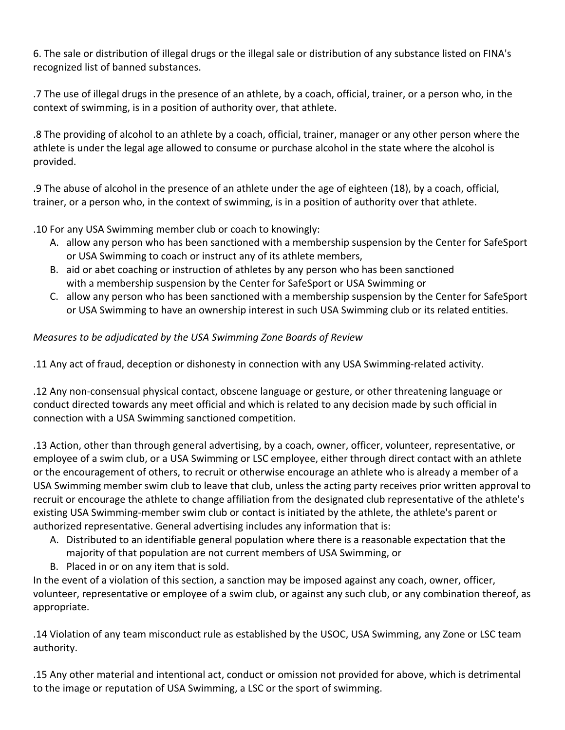6. The sale or distribution of illegal drugs or the illegal sale or distribution of any substance listed on FINA's recognized list of banned substances.

.7 The use of illegal drugs in the presence of an athlete, by a coach, official, trainer, or a person who, in the context of swimming, is in a position of authority over, that athlete.

.8 The providing of alcohol to an athlete by a coach, official, trainer, manager or any other person where the athlete is under the legal age allowed to consume or purchase alcohol in the state where the alcohol is provided.

.9 The abuse of alcohol in the presence of an athlete under the age of eighteen (18), by a coach, official, trainer, or a person who, in the context of swimming, is in a position of authority over that athlete.

.10 For any USA Swimming member club or coach to knowingly:

- A. allow any person who has been sanctioned with a membership suspension by the Center for SafeSport or USA Swimming to coach or instruct any of its athlete members,
- B. aid or abet coaching or instruction of athletes by any person who has been sanctioned with a membership suspension by the Center for SafeSport or USA Swimming or
- C. allow any person who has been sanctioned with a membership suspension by the Center for SafeSport or USA Swimming to have an ownership interest in such USA Swimming club or its related entities.

# *Measures to be adjudicated by the USA Swimming Zone Boards of Review*

.11 Any act of fraud, deception or dishonesty in connection with any USA Swimming‐related activity.

.12 Any non‐consensual physical contact, obscene language or gesture, or other threatening language or conduct directed towards any meet official and which is related to any decision made by such official in connection with a USA Swimming sanctioned competition.

.13 Action, other than through general advertising, by a coach, owner, officer, volunteer, representative, or employee of a swim club, or a USA Swimming or LSC employee, either through direct contact with an athlete or the encouragement of others, to recruit or otherwise encourage an athlete who is already a member of a USA Swimming member swim club to leave that club, unless the acting party receives prior written approval to recruit or encourage the athlete to change affiliation from the designated club representative of the athlete's existing USA Swimming‐member swim club or contact is initiated by the athlete, the athlete's parent or authorized representative. General advertising includes any information that is:

- A. Distributed to an identifiable general population where there is a reasonable expectation that the majority of that population are not current members of USA Swimming, or
- B. Placed in or on any item that is sold.

In the event of a violation of this section, a sanction may be imposed against any coach, owner, officer, volunteer, representative or employee of a swim club, or against any such club, or any combination thereof, as appropriate.

.14 Violation of any team misconduct rule as established by the USOC, USA Swimming, any Zone or LSC team authority.

.15 Any other material and intentional act, conduct or omission not provided for above, which is detrimental to the image or reputation of USA Swimming, a LSC or the sport of swimming.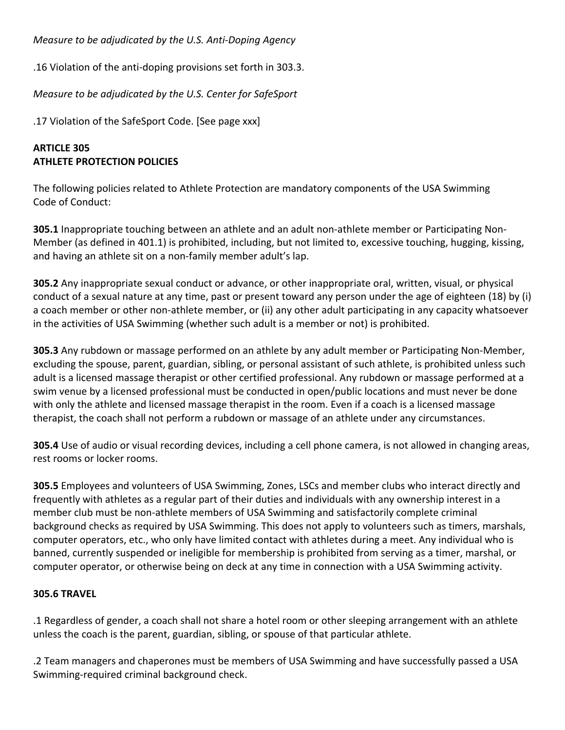*Measure to be adjudicated by the U.S. Anti‐Doping Agency* 

.16 Violation of the anti‐doping provisions set forth in 303.3.

*Measure to be adjudicated by the U.S. Center for SafeSport* 

.17 Violation of the SafeSport Code. [See page xxx]

# **ARTICLE 305 ATHLETE PROTECTION POLICIES**

The following policies related to Athlete Protection are mandatory components of the USA Swimming Code of Conduct:

**305.1** Inappropriate touching between an athlete and an adult non‐athlete member or Participating Non‐ Member (as defined in 401.1) is prohibited, including, but not limited to, excessive touching, hugging, kissing, and having an athlete sit on a non-family member adult's lap.

**305.2** Any inappropriate sexual conduct or advance, or other inappropriate oral, written, visual, or physical conduct of a sexual nature at any time, past or present toward any person under the age of eighteen (18) by (i) a coach member or other non‐athlete member, or (ii) any other adult participating in any capacity whatsoever in the activities of USA Swimming (whether such adult is a member or not) is prohibited.

**305.3** Any rubdown or massage performed on an athlete by any adult member or Participating Non‐Member, excluding the spouse, parent, guardian, sibling, or personal assistant of such athlete, is prohibited unless such adult is a licensed massage therapist or other certified professional. Any rubdown or massage performed at a swim venue by a licensed professional must be conducted in open/public locations and must never be done with only the athlete and licensed massage therapist in the room. Even if a coach is a licensed massage therapist, the coach shall not perform a rubdown or massage of an athlete under any circumstances.

**305.4** Use of audio or visual recording devices, including a cell phone camera, is not allowed in changing areas, rest rooms or locker rooms.

**305.5** Employees and volunteers of USA Swimming, Zones, LSCs and member clubs who interact directly and frequently with athletes as a regular part of their duties and individuals with any ownership interest in a member club must be non‐athlete members of USA Swimming and satisfactorily complete criminal background checks as required by USA Swimming. This does not apply to volunteers such as timers, marshals, computer operators, etc., who only have limited contact with athletes during a meet. Any individual who is banned, currently suspended or ineligible for membership is prohibited from serving as a timer, marshal, or computer operator, or otherwise being on deck at any time in connection with a USA Swimming activity.

## **305.6 TRAVEL**

.1 Regardless of gender, a coach shall not share a hotel room or other sleeping arrangement with an athlete unless the coach is the parent, guardian, sibling, or spouse of that particular athlete.

.2 Team managers and chaperones must be members of USA Swimming and have successfully passed a USA Swimming‐required criminal background check.